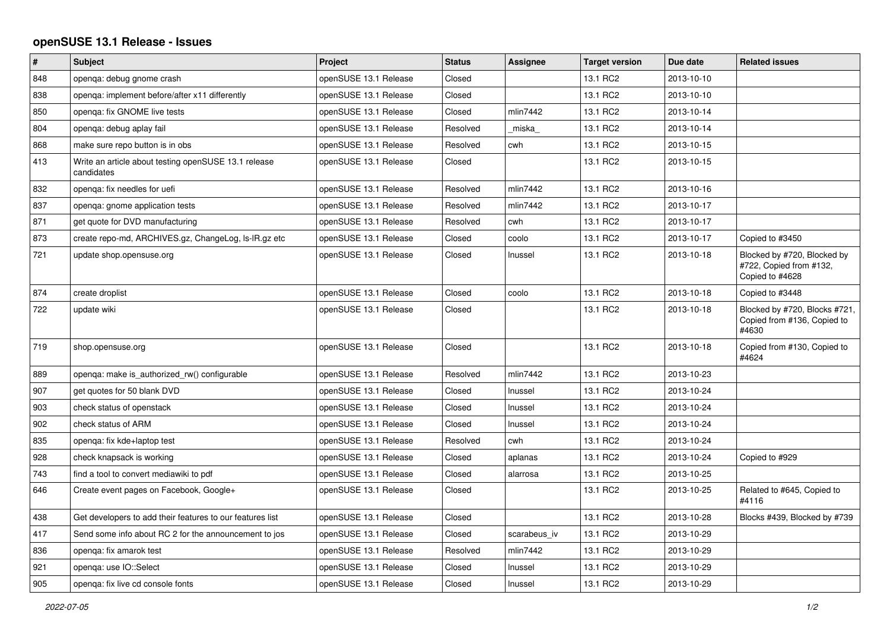## **openSUSE 13.1 Release - Issues**

| $\vert$ # | <b>Subject</b>                                                     | Project               | <b>Status</b> | Assignee     | <b>Target version</b> | Due date   | <b>Related issues</b>                                                     |
|-----------|--------------------------------------------------------------------|-----------------------|---------------|--------------|-----------------------|------------|---------------------------------------------------------------------------|
| 848       | openga: debug gnome crash                                          | openSUSE 13.1 Release | Closed        |              | 13.1 RC2              | 2013-10-10 |                                                                           |
| 838       | openga: implement before/after x11 differently                     | openSUSE 13.1 Release | Closed        |              | 13.1 RC2              | 2013-10-10 |                                                                           |
| 850       | openga: fix GNOME live tests                                       | openSUSE 13.1 Release | Closed        | mlin7442     | 13.1 RC2              | 2013-10-14 |                                                                           |
| 804       | openqa: debug aplay fail                                           | openSUSE 13.1 Release | Resolved      | miska        | 13.1 RC2              | 2013-10-14 |                                                                           |
| 868       | make sure repo button is in obs                                    | openSUSE 13.1 Release | Resolved      | cwh          | 13.1 RC2              | 2013-10-15 |                                                                           |
| 413       | Write an article about testing openSUSE 13.1 release<br>candidates | openSUSE 13.1 Release | Closed        |              | 13.1 RC2              | 2013-10-15 |                                                                           |
| 832       | openga: fix needles for uefi                                       | openSUSE 13.1 Release | Resolved      | mlin7442     | 13.1 RC2              | 2013-10-16 |                                                                           |
| 837       | openga: gnome application tests                                    | openSUSE 13.1 Release | Resolved      | mlin7442     | 13.1 RC2              | 2013-10-17 |                                                                           |
| 871       | get quote for DVD manufacturing                                    | openSUSE 13.1 Release | Resolved      | cwh          | 13.1 RC2              | 2013-10-17 |                                                                           |
| 873       | create repo-md, ARCHIVES.gz, ChangeLog, Is-IR.gz etc               | openSUSE 13.1 Release | Closed        | coolo        | 13.1 RC2              | 2013-10-17 | Copied to #3450                                                           |
| 721       | update shop.opensuse.org                                           | openSUSE 13.1 Release | Closed        | Inussel      | 13.1 RC2              | 2013-10-18 | Blocked by #720, Blocked by<br>#722, Copied from #132,<br>Copied to #4628 |
| 874       | create droplist                                                    | openSUSE 13.1 Release | Closed        | coolo        | 13.1 RC2              | 2013-10-18 | Copied to #3448                                                           |
| 722       | update wiki                                                        | openSUSE 13.1 Release | Closed        |              | 13.1 RC2              | 2013-10-18 | Blocked by #720, Blocks #721,<br>Copied from #136, Copied to<br>#4630     |
| 719       | shop.opensuse.org                                                  | openSUSE 13.1 Release | Closed        |              | 13.1 RC2              | 2013-10-18 | Copied from #130, Copied to<br>#4624                                      |
| 889       | openga: make is authorized rw() configurable                       | openSUSE 13.1 Release | Resolved      | mlin7442     | 13.1 RC2              | 2013-10-23 |                                                                           |
| 907       | get quotes for 50 blank DVD                                        | openSUSE 13.1 Release | Closed        | Inussel      | 13.1 RC2              | 2013-10-24 |                                                                           |
| 903       | check status of openstack                                          | openSUSE 13.1 Release | Closed        | Inussel      | 13.1 RC2              | 2013-10-24 |                                                                           |
| 902       | check status of ARM                                                | openSUSE 13.1 Release | Closed        | Inussel      | 13.1 RC2              | 2013-10-24 |                                                                           |
| 835       | openga: fix kde+laptop test                                        | openSUSE 13.1 Release | Resolved      | cwh          | 13.1 RC2              | 2013-10-24 |                                                                           |
| 928       | check knapsack is working                                          | openSUSE 13.1 Release | Closed        | aplanas      | 13.1 RC2              | 2013-10-24 | Copied to #929                                                            |
| 743       | find a tool to convert mediawiki to pdf                            | openSUSE 13.1 Release | Closed        | alarrosa     | 13.1 RC2              | 2013-10-25 |                                                                           |
| 646       | Create event pages on Facebook, Google+                            | openSUSE 13.1 Release | Closed        |              | 13.1 RC2              | 2013-10-25 | Related to #645, Copied to<br>#4116                                       |
| 438       | Get developers to add their features to our features list          | openSUSE 13.1 Release | Closed        |              | 13.1 RC2              | 2013-10-28 | Blocks #439, Blocked by #739                                              |
| 417       | Send some info about RC 2 for the announcement to jos              | openSUSE 13.1 Release | Closed        | scarabeus iv | 13.1 RC2              | 2013-10-29 |                                                                           |
| 836       | openga: fix amarok test                                            | openSUSE 13.1 Release | Resolved      | mlin7442     | 13.1 RC2              | 2013-10-29 |                                                                           |
| 921       | openqa: use IO::Select                                             | openSUSE 13.1 Release | Closed        | Inussel      | 13.1 RC2              | 2013-10-29 |                                                                           |
| 905       | openqa: fix live cd console fonts                                  | openSUSE 13.1 Release | Closed        | Inussel      | 13.1 RC2              | 2013-10-29 |                                                                           |